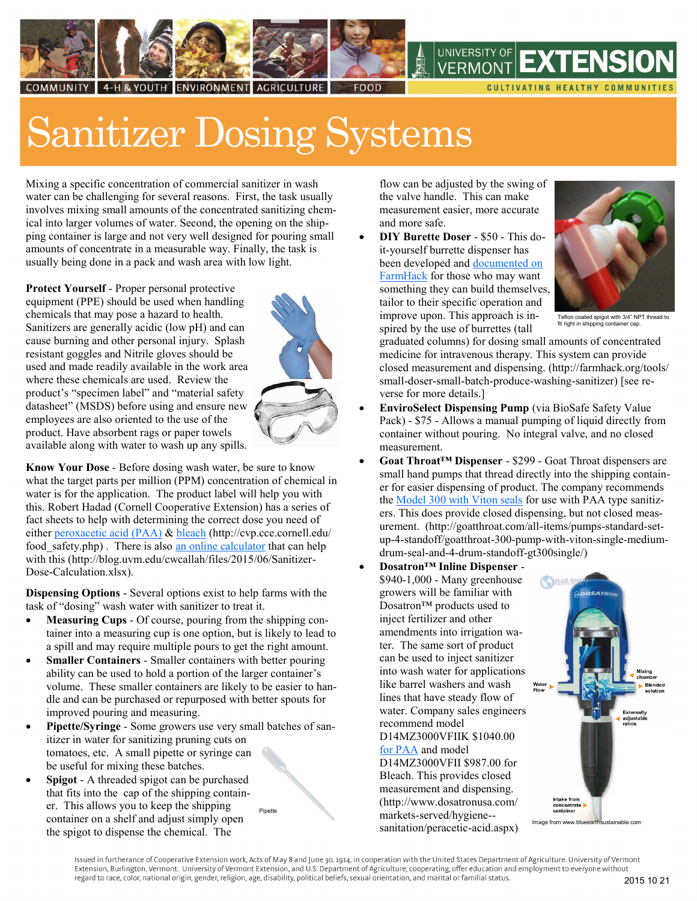

4-H & YOUTH ENVIRONMENT



## Sanitizer Dosing Systems

Mixing a specific concentration of commercial sanitizer in wash water can be challenging for several reasons. First, the task usually involves mixing small amounts of the concentrated sanitizing chemical into larger volumes of water. Second, the opening on the shipping container is large and not very well designed for pouring small amounts of concentrate in a measurable way. Finally, the task is usually being done in a pack and wash area with low light.

**Protect Yourself** - Proper personal protective equipment (PPE) should be used when handling chemicals that may pose a hazard to health. Sanitizers are generally acidic (low pH) and can cause burning and other personal injury. Splash resistant goggles and Nitrile gloves should be used and made readily available in the work area where these chemicals are used. Review the product's "specimen label" and "material safety datasheet" (MSDS) before using and ensure new employees are also oriented to the use of the product. Have absorbent rags or paper towels available along with water to wash up any spills.



**Know Your Dose** - Before dosing wash water, be sure to know what the target parts per million (PPM) concentration of chemical in water is for the application. The product label will help you with this. Robert Hadad (Cornell Cooperative Extension) has a series of fact sheets to help with determining the correct dose you need of either [peroxacetic acid \(PAA\)](http://rvpadmin.cce.cornell.edu/uploads/doc_314.pdf) & [bleach](http://rvpadmin.cce.cornell.edu/uploads/doc_312.pdf) (http://cvp.cce.cornell.edu/ food safety.php). There is also [an online calculator](http://blog.uvm.edu/cwcallah/files/2015/06/Sanitizer-Dose-Calculation.xlsx) that can help with this (http://blog.uvm.edu/cwcallah/files/2015/06/Sanitizer-Dose-Calculation.xlsx).

**Dispensing Options** - Several options exist to help farms with the task of "dosing" wash water with sanitizer to treat it.

- **Measuring Cups**  Of course, pouring from the shipping container into a measuring cup is one option, but is likely to lead to a spill and may require multiple pours to get the right amount.
- **Smaller Containers** Smaller containers with better pouring ability can be used to hold a portion of the larger container's volume. These smaller containers are likely to be easier to handle and can be purchased or repurposed with better spouts for improved pouring and measuring.
- **Pipette/Syringe** Some growers use very small batches of sanitizer in water for sanitizing pruning cuts on tomatoes, etc. A small pipette or syringe can be useful for mixing these batches.

Pipette

 **Spigot** - A threaded spigot can be purchased that fits into the cap of the shipping container. This allows you to keep the shipping container on a shelf and adjust simply open the spigot to dispense the chemical. The

flow can be adjusted by the swing of the valve handle. This can make measurement easier, more accurate and more safe.

 **DIY Burette Doser** - \$50 - This doit-yourself burrette dispenser has been developed and [documented on](http://farmhack.org/tools/small-doser-small-batch-produce-washing-sanitizer)  [FarmHack](http://farmhack.org/tools/small-doser-small-batch-produce-washing-sanitizer) for those who may want something they can build themselves, tailor to their specific operation and improve upon. This approach is inspired by the use of burrettes (tall



Teflon coated spigot with 3/4" NPT thread to fit right in shipping container cap.

graduated columns) for dosing small amounts of concentrated medicine for intravenous therapy. This system can provide closed measurement and dispensing. (http://farmhack.org/tools/ small-doser-small-batch-produce-washing-sanitizer) [see reverse for more details.]

- **EnviroSelect Dispensing Pump** (via BioSafe Safety Value Pack) - \$75 - Allows a manual pumping of liquid directly from container without pouring. No integral valve, and no closed measurement.
- **Goat Throat™ Dispenser** \$299 Goat Throat dispensers are small hand pumps that thread directly into the shipping container for easier dispensing of product. The company recommends the [Model 300 with Viton seals](http://goatthroat.com/all-items/pumps-standard-set-up-4-standoff/goatthroat-300-pump-with-viton-single-medium-drum-seal-and-4-drum-standoff-gt300single/) for use with PAA type sanitizers. This does provide closed dispensing, but not closed measurement. (http://goatthroat.com/all-items/pumps-standard-setup-4-standoff/goatthroat-300-pump-with-viton-single-mediumdrum-seal-and-4-drum-standoff-gt300single/)

 **Dosatron™ Inline Dispenser** - \$940-1,000 - Many greenhouse growers will be familiar with Dosatron™ products used to inject fertilizer and other amendments into irrigation water. The same sort of product can be used to inject sanitizer into wash water for applications like barrel washers and wash lines that have steady flow of water. Company sales engineers recommend model D14MZ3000VFIIK \$1040.00 [for PAA](http://www.dosatronusa.com/markets-served/hygiene--sanitation/peracetic-acid.aspx) and model D14MZ3000VFII \$987.00 for Bleach. This provides closed measurement and dispensing. (http://www.dosatronusa.com/ markets-served/hygiene- sanitation/peracetic-acid.aspx)



Issued in furtherance of Cooperative Extension work, Acts of May 8 and June 30, 1914, in cooperation with the United States Department of Agriculture. University of Vermont Extension, Burlington, Vermont. University of Vermont Extension, and U.S. Department of Agriculture, cooperating, offer education and employment to everyone without regard to race, color, national origin, gender, religion, age, disability, political beliefs, sexual orientation, and marital or familial status.